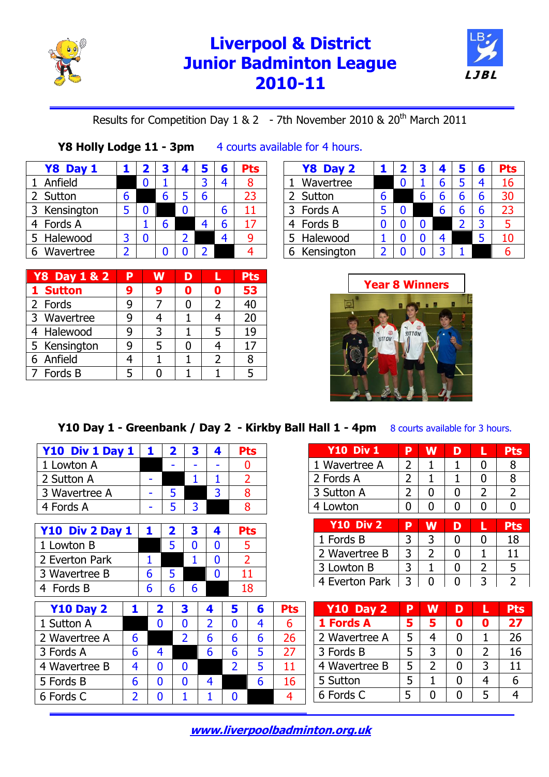

# **Liverpool & District Junior Badminton League 2010-11 <sup>L</sup> JB <sup>L</sup>**



### Results for Competition Day 1 & 2 - 7th November 2010 & 20th March 2011

#### **Y8 Holly Lodge 11 - 3pm** 4 courts available for 4 hours.

|                                                                                             | $\mathbf{2}$ | 3 | 4 |   | 6 | Pts |
|---------------------------------------------------------------------------------------------|--------------|---|---|---|---|-----|
|                                                                                             |              |   |   |   |   |     |
| h                                                                                           |              |   |   | h |   | 23  |
| 5                                                                                           |              |   |   |   | h |     |
|                                                                                             |              |   |   |   |   | 17  |
| 3                                                                                           |              |   |   |   |   |     |
|                                                                                             |              |   |   |   |   |     |
| Y8 Day 1<br>1 Anfield<br>2 Sutton<br>3 Kensington<br>4 Fords A<br>5 Halewood<br>6 Wavertree |              |   |   |   |   |     |

| <b>Y8 Day 1 &amp; 2</b> | Þ | w | D |                | <b>Pts</b> |
|-------------------------|---|---|---|----------------|------------|
| 1 Sutton                | 9 | 9 | Π | 0              | 53         |
| 2 Fords                 | q |   |   | $\overline{2}$ | 40         |
| 3 Wavertree             |   |   |   |                | 20         |
| 4 Halewood              | q |   |   | 5              | 19         |
| 5 Kensington            |   |   |   |                |            |
| 6 Anfield               |   |   |   | 2              |            |
| 7 Fords B               |   |   |   |                |            |

#### **Y8 Day 2 1 2 3 4 5 6 Pts** 1 Wavertree 0 1 6 5 4 16 2 Sutton  $\begin{array}{|c|c|c|c|c|c|c|c|} \hline 6 & 6 & 6 & 6 & 6 & 30 \\ \hline \end{array}$ 3 Fords A 5 0 6 6 6 23 4 Fords B 0 0 0 2 3 5 5 Halewood 1 0 0 4 5 10 6 Kensington 2 0 0 3 1



### **Y10 Day 1 - Greenbank / Day 2 - Kirkby Ball Hall 1 - 4pm** 8 courts available for 3 hours.

| Y10 Div 1 Day 1  |                | 1 |                         | $\overline{\mathbf{2}}$ | 3              | 4              |                | Pts            |                 |
|------------------|----------------|---|-------------------------|-------------------------|----------------|----------------|----------------|----------------|-----------------|
| 1 Lowton A       |                |   |                         |                         |                |                |                | 0              |                 |
| 2 Sutton A       |                |   |                         |                         | 1              | 1              |                | 2              |                 |
| 3 Wavertree A    |                |   |                         | 5                       |                | 3              |                | 8              |                 |
| 4 Fords A        |                |   |                         | 5                       | 3              |                |                | 8              |                 |
|                  |                |   |                         |                         |                |                |                |                |                 |
| Y10 Div 2 Day 1  |                | 1 |                         | 2                       | 3              | 4              |                | Pts            |                 |
| 1 Lowton B       |                |   |                         | 5                       | 0              | 0              |                | 5              |                 |
| 2 Everton Park   |                | 1 |                         |                         | 1              | 0              |                | $\overline{2}$ |                 |
| 3 Wavertree B    |                | 6 |                         | 5                       |                | 0              |                | 11             |                 |
| 4 Fords B        |                | 6 |                         | 6                       | 6              |                |                | 18             |                 |
| <b>Y10 Day 2</b> | 1              |   | $\overline{\mathbf{2}}$ |                         | 3              | 4              | 5              | 6              | Pts             |
| 1 Sutton A       |                |   | 0                       |                         | 0              | $\overline{2}$ | 0              | 4              | 6               |
| 2 Wavertree A    | 6              |   |                         |                         | $\overline{2}$ | 6              | 6              | 6              | 26              |
| 3 Fords A        | 6              |   | 4                       |                         |                | 6              | 6              | 5              | 27              |
| 4 Wavertree B    | 4              |   | 0                       |                         | 0              |                | $\overline{2}$ | 5              | 11 <sup>1</sup> |
| 5 Fords B        | 6              |   | 0                       |                         | 0              | 4              |                | 6              | 16              |
| 6 Fords C        | $\overline{2}$ |   | 0                       |                         | 1              | 1              | 0              |                | 4               |

| <b>Y10 Div 1</b> | Þ | W              | D | L              | <b>Pts</b>     |
|------------------|---|----------------|---|----------------|----------------|
| 1 Wavertree A    | 2 |                | 1 | 0              | 8              |
| 2 Fords A        | 2 | 1              | 1 | O              | 8              |
| 3 Sutton A       | 2 | 0              | 0 | $\overline{2}$ | $\overline{2}$ |
| 4 Lowton         |   | N              | O |                |                |
|                  |   |                |   |                |                |
|                  |   |                |   |                |                |
| <b>Y10 Div 2</b> | P | W              | D | L              | <b>Pts</b>     |
| 1 Fords B        | 3 | 3              | 0 | 0              | 18             |
| 2 Wavertree B    | 3 | $\overline{2}$ | O |                | 11             |
| 3 Lowton B       | 3 |                | 0 | $\overline{2}$ | 5              |

| <b>Y10 Day 2</b> | D | w |   |   | <b>Pts</b> |
|------------------|---|---|---|---|------------|
| 1 Fords A        | 5 | 5 | 0 |   | 27         |
| 2 Wavertree A    | 5 |   | O |   | 26         |
| 3 Fords B        | 5 | २ |   |   | 16         |
| 4 Wavertree B    | 5 |   |   | ર | 11         |
| 5 Sutton         | 5 |   | 0 |   |            |
| 6 Fords C        |   |   |   |   |            |

**[www.liverpoolbadminton.org.uk](http://www.liverpoolbadminton.org.uk/)**